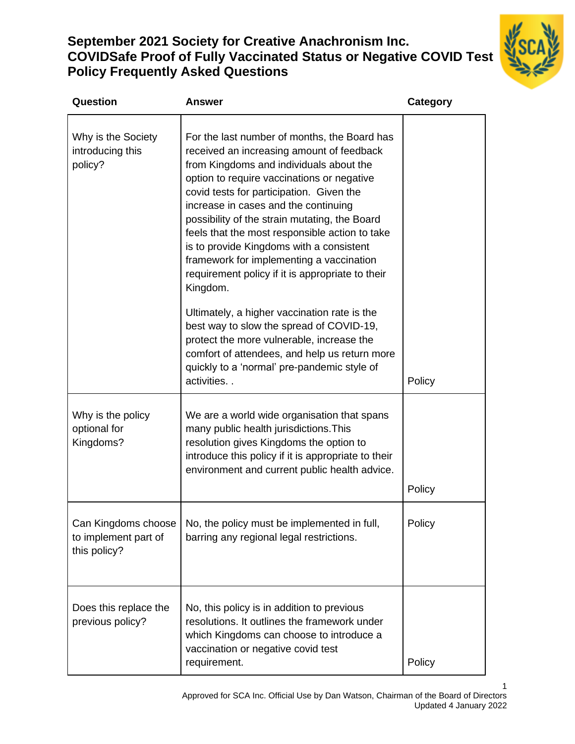# **September 2021 Society for Creative Anachronism Inc. COVIDSafe Proof of Fully Vaccinated Status or Negative COVID Test Policy Frequently Asked Questions**



| Question                                                    | <b>Answer</b>                                                                                                                                                                                                                                                                                                                                                                                                                                                                                                                     | <b>Category</b> |
|-------------------------------------------------------------|-----------------------------------------------------------------------------------------------------------------------------------------------------------------------------------------------------------------------------------------------------------------------------------------------------------------------------------------------------------------------------------------------------------------------------------------------------------------------------------------------------------------------------------|-----------------|
| Why is the Society<br>introducing this<br>policy?           | For the last number of months, the Board has<br>received an increasing amount of feedback<br>from Kingdoms and individuals about the<br>option to require vaccinations or negative<br>covid tests for participation. Given the<br>increase in cases and the continuing<br>possibility of the strain mutating, the Board<br>feels that the most responsible action to take<br>is to provide Kingdoms with a consistent<br>framework for implementing a vaccination<br>requirement policy if it is appropriate to their<br>Kingdom. |                 |
|                                                             | Ultimately, a higher vaccination rate is the<br>best way to slow the spread of COVID-19,<br>protect the more vulnerable, increase the<br>comfort of attendees, and help us return more<br>quickly to a 'normal' pre-pandemic style of<br>activities                                                                                                                                                                                                                                                                               | Policy          |
| Why is the policy<br>optional for<br>Kingdoms?              | We are a world wide organisation that spans<br>many public health jurisdictions. This<br>resolution gives Kingdoms the option to<br>introduce this policy if it is appropriate to their<br>environment and current public health advice.                                                                                                                                                                                                                                                                                          | Policy          |
| Can Kingdoms choose<br>to implement part of<br>this policy? | No, the policy must be implemented in full,<br>barring any regional legal restrictions.                                                                                                                                                                                                                                                                                                                                                                                                                                           | Policy          |
| Does this replace the<br>previous policy?                   | No, this policy is in addition to previous<br>resolutions. It outlines the framework under<br>which Kingdoms can choose to introduce a<br>vaccination or negative covid test<br>requirement.                                                                                                                                                                                                                                                                                                                                      | Policy          |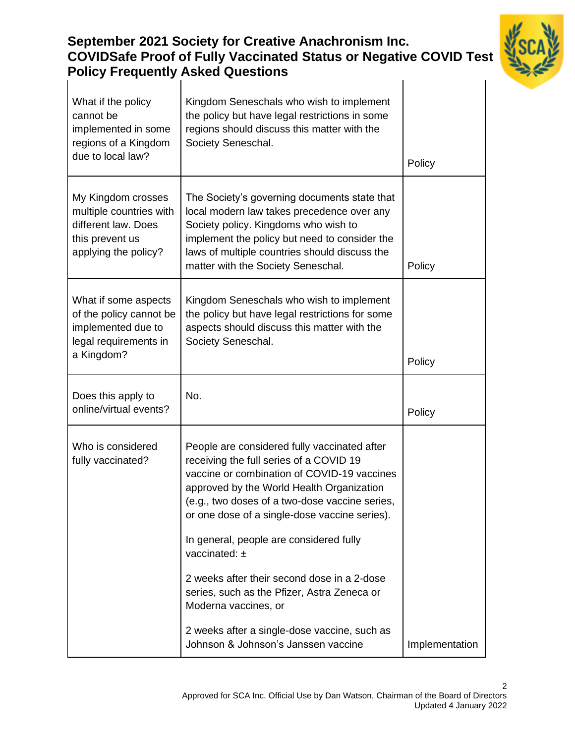#### **September 2021 Society for Creative Anachronism Inc. COVIDSafe Proof of Fully Vaccinated Status or Negative COVID Test Policy Frequently Asked Questions** What if the policy cannot be implemented in some regions of a Kingdom Kingdom Seneschals who wish to implement the policy but have legal restrictions in some regions should discuss this matter with the Society Seneschal.

| regions of a Kingdom<br>due to local law?                                                                       | Society Seneschal.                                                                                                                                                                                                                                                                                                                                                                                                                                                                                                           | Policy         |
|-----------------------------------------------------------------------------------------------------------------|------------------------------------------------------------------------------------------------------------------------------------------------------------------------------------------------------------------------------------------------------------------------------------------------------------------------------------------------------------------------------------------------------------------------------------------------------------------------------------------------------------------------------|----------------|
| My Kingdom crosses<br>multiple countries with<br>different law. Does<br>this prevent us<br>applying the policy? | The Society's governing documents state that<br>local modern law takes precedence over any<br>Society policy. Kingdoms who wish to<br>implement the policy but need to consider the<br>laws of multiple countries should discuss the<br>matter with the Society Seneschal.                                                                                                                                                                                                                                                   | Policy         |
| What if some aspects<br>of the policy cannot be<br>implemented due to<br>legal requirements in<br>a Kingdom?    | Kingdom Seneschals who wish to implement<br>the policy but have legal restrictions for some<br>aspects should discuss this matter with the<br>Society Seneschal.                                                                                                                                                                                                                                                                                                                                                             | Policy         |
| Does this apply to<br>online/virtual events?                                                                    | No.                                                                                                                                                                                                                                                                                                                                                                                                                                                                                                                          | Policy         |
| Who is considered<br>fully vaccinated?                                                                          | People are considered fully vaccinated after<br>receiving the full series of a COVID 19<br>vaccine or combination of COVID-19 vaccines<br>approved by the World Health Organization<br>(e.g., two doses of a two-dose vaccine series,<br>or one dose of a single-dose vaccine series).<br>In general, people are considered fully<br>vaccinated: $\pm$<br>2 weeks after their second dose in a 2-dose<br>series, such as the Pfizer, Astra Zeneca or<br>Moderna vaccines, or<br>2 weeks after a single-dose vaccine, such as |                |
|                                                                                                                 | Johnson & Johnson's Janssen vaccine                                                                                                                                                                                                                                                                                                                                                                                                                                                                                          | Implementation |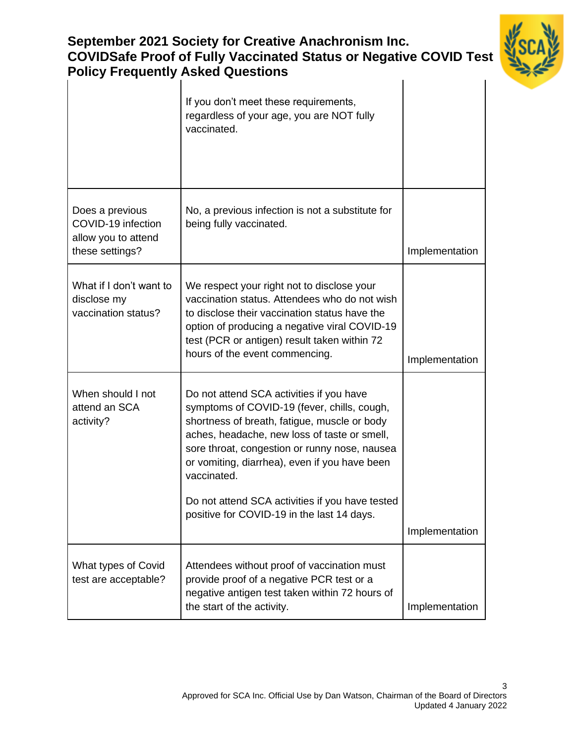| are i Tool of Fully Vacchiated Olatus of Negative G<br><b>Policy Frequently Asked Questions</b> |                                                                                                                                                                                                                                                                                                                                                                                                           |                |
|-------------------------------------------------------------------------------------------------|-----------------------------------------------------------------------------------------------------------------------------------------------------------------------------------------------------------------------------------------------------------------------------------------------------------------------------------------------------------------------------------------------------------|----------------|
|                                                                                                 | If you don't meet these requirements,<br>regardless of your age, you are NOT fully<br>vaccinated.                                                                                                                                                                                                                                                                                                         |                |
| Does a previous<br>COVID-19 infection<br>allow you to attend<br>these settings?                 | No, a previous infection is not a substitute for<br>being fully vaccinated.                                                                                                                                                                                                                                                                                                                               | Implementation |
| What if I don't want to<br>disclose my<br>vaccination status?                                   | We respect your right not to disclose your<br>vaccination status. Attendees who do not wish<br>to disclose their vaccination status have the<br>option of producing a negative viral COVID-19<br>test (PCR or antigen) result taken within 72<br>hours of the event commencing.                                                                                                                           | Implementation |
| When should I not<br>attend an SCA<br>activity?                                                 | Do not attend SCA activities if you have<br>symptoms of COVID-19 (fever, chills, cough,<br>shortness of breath, fatigue, muscle or body<br>aches, headache, new loss of taste or smell,<br>sore throat, congestion or runny nose, nausea<br>or vomiting, diarrhea), even if you have been<br>vaccinated.<br>Do not attend SCA activities if you have tested<br>positive for COVID-19 in the last 14 days. | Implementation |
| What types of Covid<br>test are acceptable?                                                     | Attendees without proof of vaccination must<br>provide proof of a negative PCR test or a<br>negative antigen test taken within 72 hours of<br>the start of the activity.                                                                                                                                                                                                                                  | Implementation |

# **September 2021 Society for Creative Anachronism Inc. COVIDSafe Proof of Fully Vaccinated Status or Negative COVID Test**

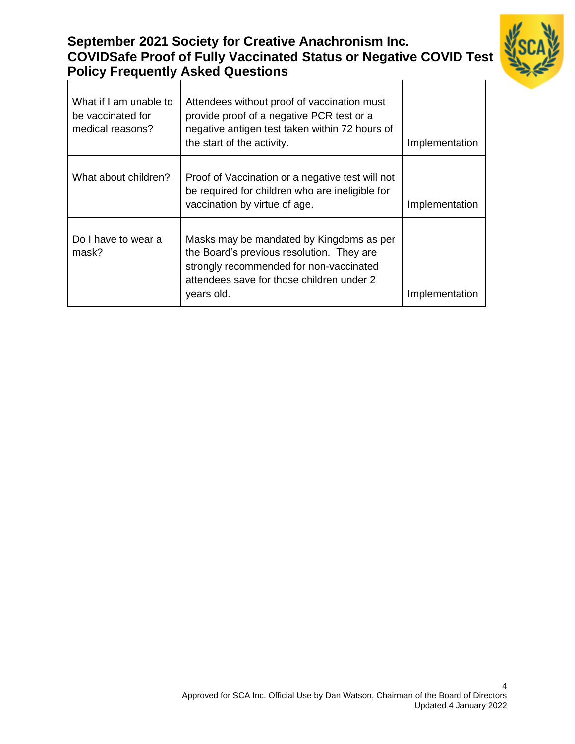#### **September 2021 Society for Creative Anachronism Inc. COVIDSafe Proof of Fully Vaccinated Status or Negative COVID Test Policy Frequently Asked Questions**  $\mathbf{I}$



| What if I am unable to<br>be vaccinated for<br>medical reasons? | Attendees without proof of vaccination must<br>provide proof of a negative PCR test or a<br>negative antigen test taken within 72 hours of<br>the start of the activity.                    | Implementation |
|-----------------------------------------------------------------|---------------------------------------------------------------------------------------------------------------------------------------------------------------------------------------------|----------------|
| What about children?                                            | Proof of Vaccination or a negative test will not<br>be required for children who are ineligible for<br>vaccination by virtue of age.                                                        | Implementation |
| Do I have to wear a<br>mask?                                    | Masks may be mandated by Kingdoms as per<br>the Board's previous resolution. They are<br>strongly recommended for non-vaccinated<br>attendees save for those children under 2<br>years old. | Implementation |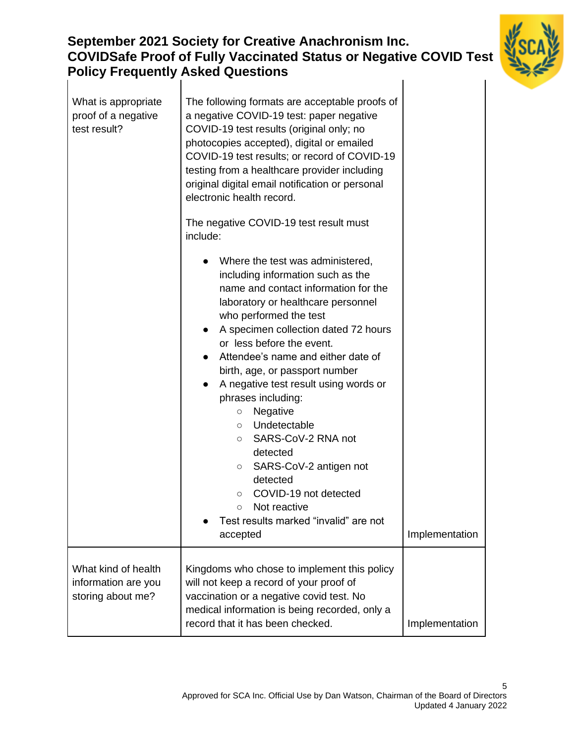## **September 2021 Society for Creative Anachronism Inc. COVIDSafe Proof of Fully Vaccinated Status or Negative COVID Test Policy Frequently Asked Questions**  $\overline{1}$



| What is appropriate<br>proof of a negative<br>test result?      | The following formats are acceptable proofs of<br>a negative COVID-19 test: paper negative<br>COVID-19 test results (original only; no<br>photocopies accepted), digital or emailed<br>COVID-19 test results; or record of COVID-19<br>testing from a healthcare provider including<br>original digital email notification or personal<br>electronic health record.<br>The negative COVID-19 test result must<br>include:                                                                                                                                                                                                                                                               |                |
|-----------------------------------------------------------------|-----------------------------------------------------------------------------------------------------------------------------------------------------------------------------------------------------------------------------------------------------------------------------------------------------------------------------------------------------------------------------------------------------------------------------------------------------------------------------------------------------------------------------------------------------------------------------------------------------------------------------------------------------------------------------------------|----------------|
|                                                                 | Where the test was administered,<br>including information such as the<br>name and contact information for the<br>laboratory or healthcare personnel<br>who performed the test<br>A specimen collection dated 72 hours<br>$\bullet$<br>or less before the event.<br>Attendee's name and either date of<br>birth, age, or passport number<br>A negative test result using words or<br>$\bullet$<br>phrases including:<br>Negative<br>$\circ$<br>Undetectable<br>$\circ$<br>SARS-CoV-2 RNA not<br>$\circ$<br>detected<br>SARS-CoV-2 antigen not<br>$\circ$<br>detected<br>COVID-19 not detected<br>$\circ$<br>Not reactive<br>$\circ$<br>Test results marked "invalid" are not<br>accepted | Implementation |
| What kind of health<br>information are you<br>storing about me? | Kingdoms who chose to implement this policy<br>will not keep a record of your proof of<br>vaccination or a negative covid test. No<br>medical information is being recorded, only a<br>record that it has been checked.                                                                                                                                                                                                                                                                                                                                                                                                                                                                 | Implementation |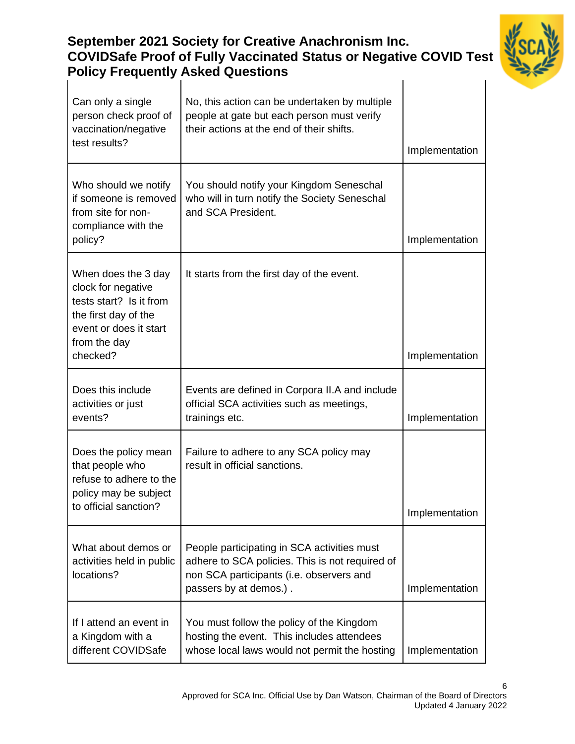## **September 2021 Society for Creative Anachronism Inc. COVIDSafe Proof of Fully Vaccinated Status or Negative COVID Test Policy Frequently Asked Questions**  $\overline{1}$



| Can only a single<br>person check proof of<br>vaccination/negative<br>test results?                                                    | No, this action can be undertaken by multiple<br>people at gate but each person must verify<br>their actions at the end of their shifts.                             |                |
|----------------------------------------------------------------------------------------------------------------------------------------|----------------------------------------------------------------------------------------------------------------------------------------------------------------------|----------------|
|                                                                                                                                        |                                                                                                                                                                      | Implementation |
| Who should we notify<br>if someone is removed<br>from site for non-<br>compliance with the                                             | You should notify your Kingdom Seneschal<br>who will in turn notify the Society Seneschal<br>and SCA President.                                                      |                |
| policy?                                                                                                                                |                                                                                                                                                                      | Implementation |
| When does the 3 day<br>clock for negative<br>tests start? Is it from<br>the first day of the<br>event or does it start<br>from the day | It starts from the first day of the event.                                                                                                                           |                |
| checked?                                                                                                                               |                                                                                                                                                                      | Implementation |
| Does this include<br>activities or just<br>events?                                                                                     | Events are defined in Corpora II.A and include<br>official SCA activities such as meetings,<br>trainings etc.                                                        | Implementation |
| Does the policy mean<br>that people who<br>refuse to adhere to the<br>policy may be subject<br>to official sanction?                   | Failure to adhere to any SCA policy may<br>result in official sanctions.                                                                                             | Implementation |
| What about demos or<br>activities held in public<br>locations?                                                                         | People participating in SCA activities must<br>adhere to SCA policies. This is not required of<br>non SCA participants (i.e. observers and<br>passers by at demos.). | Implementation |
| If I attend an event in<br>a Kingdom with a<br>different COVIDSafe                                                                     | You must follow the policy of the Kingdom<br>hosting the event. This includes attendees<br>whose local laws would not permit the hosting                             | Implementation |